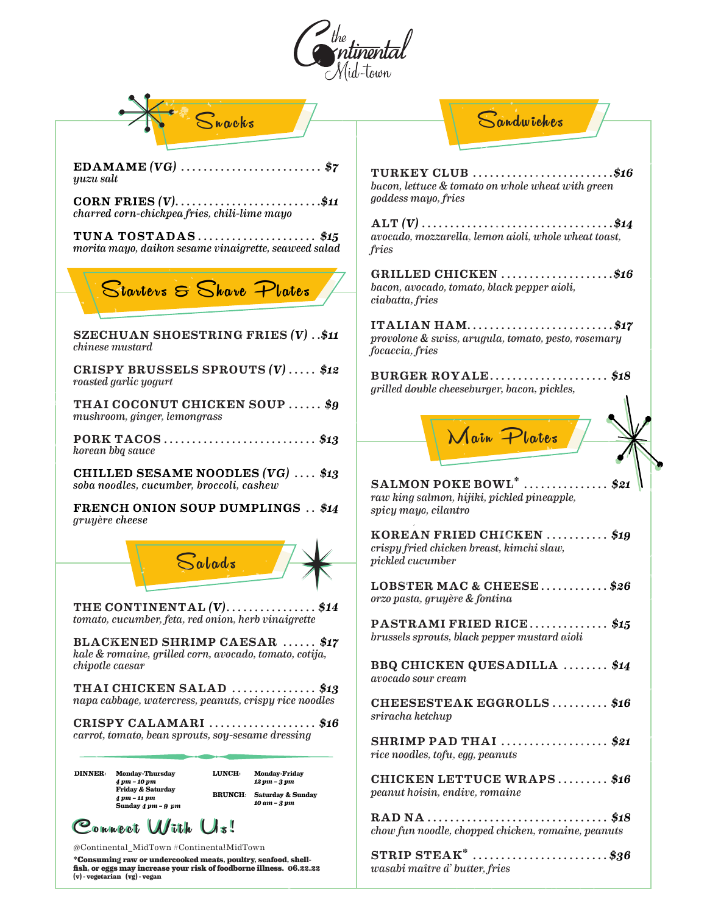

| $S_{\text{weak}}$                                                                                                                                                                                                                                                   | Sandwiches                                                                                     |
|---------------------------------------------------------------------------------------------------------------------------------------------------------------------------------------------------------------------------------------------------------------------|------------------------------------------------------------------------------------------------|
|                                                                                                                                                                                                                                                                     |                                                                                                |
| \$7<br>yuzu salt                                                                                                                                                                                                                                                    | TURKEY CLUB \$16<br>bacon, lettuce & tomato on whole wheat with green                          |
| CORN FRIES $(V)$ \$11<br>charred corn-chickpea fries, chili-lime mayo                                                                                                                                                                                               | goddess mayo, fries<br>$\text{ALT}(V) \dots \dots \dots \dots \dots \dots \dots \dots \dots \$ |
| TUNA TOSTADAS\$15<br>morita mayo, daikon sesame vinaigrette, seaweed salad                                                                                                                                                                                          | avocado, mozzarella, lemon aioli, whole wheat toast,<br>fries                                  |
| Starters & Share Plates                                                                                                                                                                                                                                             | GRILLED CHICKEN \$16<br>bacon, avocado, tomato, black pepper aioli,<br>ciabatta, fries         |
| SZECHUAN SHOESTRING FRIES $(V)$ \$11<br><i>chinese mustard</i>                                                                                                                                                                                                      | ITALIAN HAM\$17<br>provolone & swiss, arugula, tomato, pesto, rosemary<br>focaccia, fries      |
| CRISPY BRUSSELS SPROUTS $(V)$ \$12<br>roasted garlic yogurt                                                                                                                                                                                                         | BURGER ROYALE\$18<br>grilled double cheeseburger, bacon, pickles,                              |
| THAI COCONUT CHICKEN SOUP  \$9<br>mushroom, ginger, lemongrass                                                                                                                                                                                                      |                                                                                                |
| PORK TACOS \$13<br>korean bbq sauce                                                                                                                                                                                                                                 | Main Plates                                                                                    |
| CHILLED SESAME NOODLES $(VG)$ \$13<br>soba noodles, cucumber, broccoli, cashew                                                                                                                                                                                      | $SALMON POKE BOWL^*$<br>\$21                                                                   |
| <b>FRENCH ONION SOUP DUMPLINGS \$14</b><br>gruyère cheese                                                                                                                                                                                                           | raw king salmon, hijiki, pickled pineapple,<br>spicy mayo, cilantro                            |
| $S_{abads}$                                                                                                                                                                                                                                                         | KOREAN FRIED CHICKEN  \$19<br>crispy fried chicken breast, kimchi slaw,<br>pickled cucumber    |
|                                                                                                                                                                                                                                                                     | LOBSTER MAC & CHEESE<br>\$26<br>orzo pasta, gruyère & fontina                                  |
| THE CONTINENTAL $(V)$ \$14<br>tomato, cucumber, feta, red onion, herb vinaigrette                                                                                                                                                                                   | PASTRAMI FRIED RICE\$15                                                                        |
| BLACKENED SHRIMP CAESAR  \$17<br>kale & romaine, grilled corn, avocado, tomato, cotija,<br>chipotle caesar                                                                                                                                                          | brussels sprouts, black pepper mustard aioli                                                   |
| THAI CHICKEN SALAD \$13                                                                                                                                                                                                                                             | BBQ CHICKEN QUESADILLA  \$14<br>avocado sour cream                                             |
| napa cabbage, watercress, peanuts, crispy rice noodles<br>CRISPY CALAMARI \$16                                                                                                                                                                                      | CHEESESTEAK EGGROLLS\$16<br>sriracha ketchup                                                   |
| carrot, tomato, bean sprouts, soy-sesame dressing                                                                                                                                                                                                                   | SHRIMP PAD THAI \$21<br>rice noodles, tofu, egg, peanuts                                       |
| <b>LUNCH:</b><br><b>Monday-Friday</b><br><b>DINNER:</b><br><b>Monday-Thursday</b><br>4 pm - 10 pm<br>12 pm - 3 pm<br><b>Friday &amp; Saturday</b><br><b>BRUNCH:</b> Saturday & Sunday<br>4 pm - 11 pm<br>10 am - 3 pm<br>Sunday $4 \, \text{pm}$ - $9 \, \text{pm}$ | CHICKEN LETTUCE WRAPS \$16<br>peanut hoisin, endive, romaine                                   |
| Commert With Us!                                                                                                                                                                                                                                                    | chow fun noodle, chopped chicken, romaine, peanuts                                             |
| @Continental_MidTown #ContinentalMidTown<br>*Consuming raw or undercooked meats, poultry, seafood, shell-<br>fish, or eggs may increase your risk of foodborne illness. 06.22.22<br>(v) - vegetarian (vg) - vegan                                                   | STRIP STEAK <sup>*</sup> \$36<br>wasabi maître d' butter, fries                                |